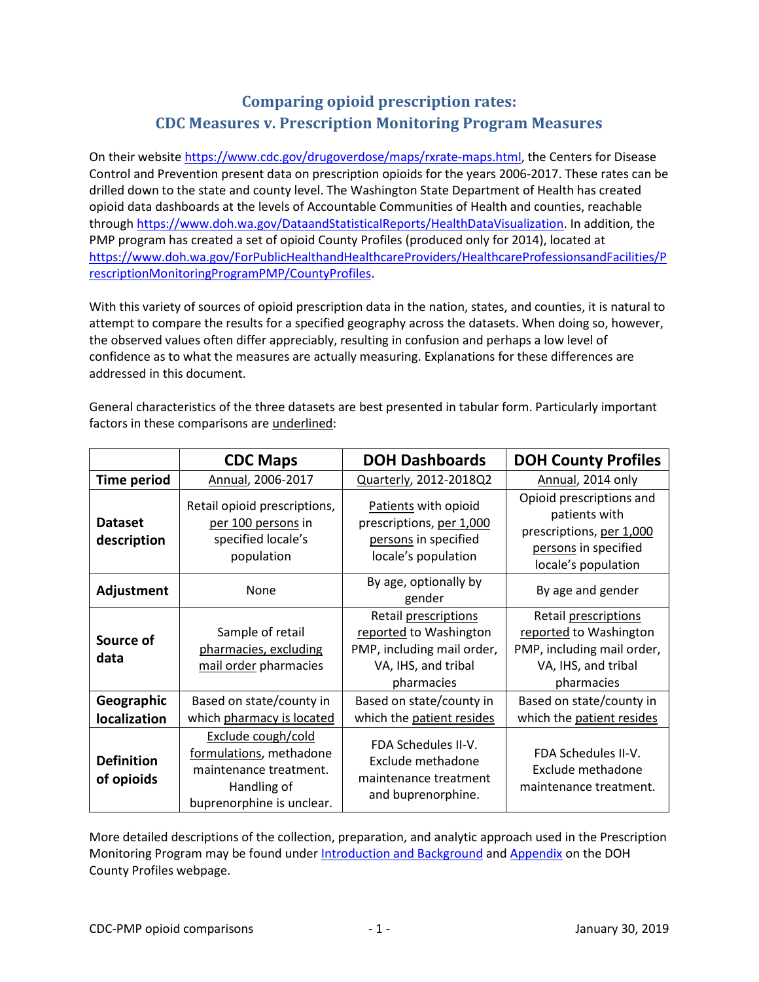## **Comparing opioid prescription rates: CDC Measures v. Prescription Monitoring Program Measures**

On their website [https://www.cdc.gov/drugoverdose/maps/rxrate-maps.html,](https://www.cdc.gov/drugoverdose/maps/rxrate-maps.html) the Centers for Disease Control and Prevention present data on prescription opioids for the years 2006-2017. These rates can be drilled down to the state and county level. The Washington State Department of Health has created opioid data dashboards at the levels of Accountable Communities of Health and counties, reachable through [https://www.doh.wa.gov/DataandStatisticalReports/HealthDataVisualization.](https://www.doh.wa.gov/DataandStatisticalReports/HealthDataVisualization) In addition, the PMP program has created a set of opioid County Profiles (produced only for 2014), located at [https://www.doh.wa.gov/ForPublicHealthandHealthcareProviders/HealthcareProfessionsandFacilities/P](https://www.doh.wa.gov/ForPublicHealthandHealthcareProviders/HealthcareProfessionsandFacilities/PrescriptionMonitoringProgramPMP/CountyProfiles) [rescriptionMonitoringProgramPMP/CountyProfiles.](https://www.doh.wa.gov/ForPublicHealthandHealthcareProviders/HealthcareProfessionsandFacilities/PrescriptionMonitoringProgramPMP/CountyProfiles)

With this variety of sources of opioid prescription data in the nation, states, and counties, it is natural to attempt to compare the results for a specified geography across the datasets. When doing so, however, the observed values often differ appreciably, resulting in confusion and perhaps a low level of confidence as to what the measures are actually measuring. Explanations for these differences are addressed in this document.

|                                 | <b>CDC Maps</b>                                                                                                     | <b>DOH Dashboards</b>                                                                                             | <b>DOH County Profiles</b>                                                                                           |
|---------------------------------|---------------------------------------------------------------------------------------------------------------------|-------------------------------------------------------------------------------------------------------------------|----------------------------------------------------------------------------------------------------------------------|
| <b>Time period</b>              | Annual, 2006-2017                                                                                                   | Quarterly, 2012-2018Q2                                                                                            | Annual, 2014 only                                                                                                    |
| <b>Dataset</b><br>description   | Retail opioid prescriptions,<br>per 100 persons in<br>specified locale's<br>population                              | Patients with opioid<br>prescriptions, per 1,000<br>persons in specified<br>locale's population                   | Opioid prescriptions and<br>patients with<br>prescriptions, per 1,000<br>persons in specified<br>locale's population |
| Adjustment                      | None                                                                                                                | By age, optionally by<br>gender                                                                                   | By age and gender                                                                                                    |
| Source of<br>data               | Sample of retail<br>pharmacies, excluding<br>mail order pharmacies                                                  | Retail prescriptions<br>reported to Washington<br>PMP, including mail order,<br>VA, IHS, and tribal<br>pharmacies | Retail prescriptions<br>reported to Washington<br>PMP, including mail order,<br>VA, IHS, and tribal<br>pharmacies    |
| Geographic<br>localization      | Based on state/county in<br>which pharmacy is located                                                               | Based on state/county in<br>which the patient resides                                                             | Based on state/county in<br>which the patient resides                                                                |
| <b>Definition</b><br>of opioids | Exclude cough/cold<br>formulations, methadone<br>maintenance treatment.<br>Handling of<br>buprenorphine is unclear. | FDA Schedules II-V.<br>Exclude methadone<br>maintenance treatment<br>and buprenorphine.                           | FDA Schedules II-V.<br>Exclude methadone<br>maintenance treatment.                                                   |

General characteristics of the three datasets are best presented in tabular form. Particularly important factors in these comparisons are underlined:

More detailed descriptions of the collection, preparation, and analytic approach used in the Prescription Monitoring Program may be found under [Introduction and Background](https://www.doh.wa.gov/Portals/1/Documents/2600/PMPcountyProfiles/630-126-CountyProfilesintro%26background2014.pdf) an[d Appendix](https://www.doh.wa.gov/Portals/1/Documents/2600/PMPcountyProfiles/630-126-CountyProfilesAppendix2014.pdf) on the DOH County Profiles webpage.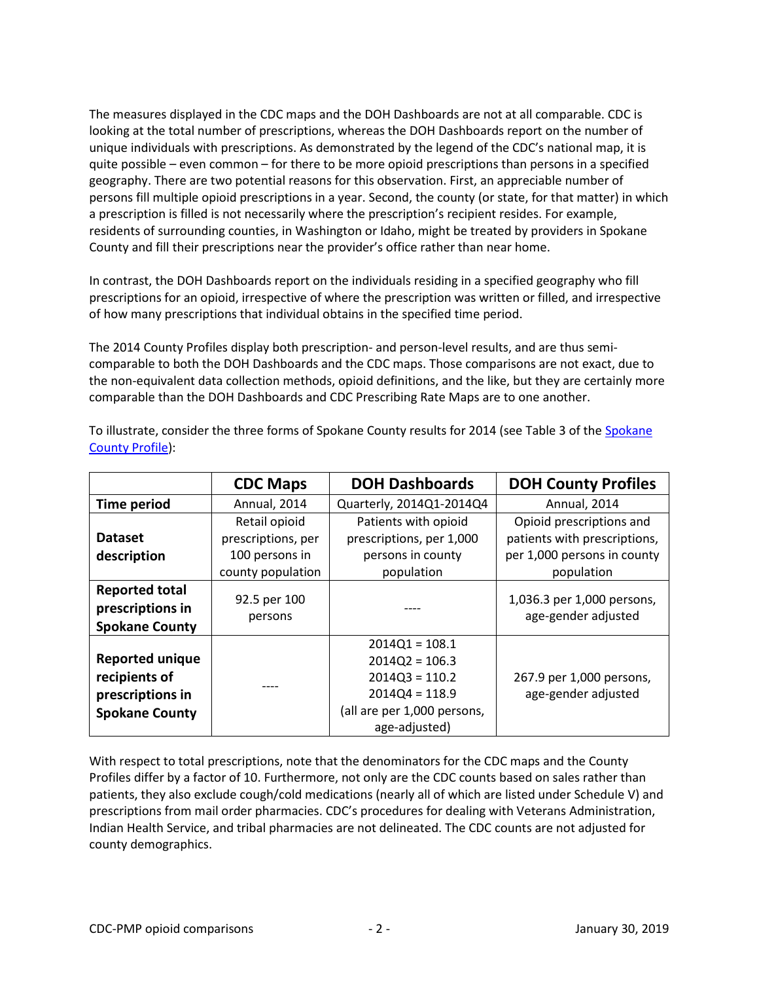The measures displayed in the CDC maps and the DOH Dashboards are not at all comparable. CDC is looking at the total number of prescriptions, whereas the DOH Dashboards report on the number of unique individuals with prescriptions. As demonstrated by the legend of the CDC's national map, it is quite possible – even common – for there to be more opioid prescriptions than persons in a specified geography. There are two potential reasons for this observation. First, an appreciable number of persons fill multiple opioid prescriptions in a year. Second, the county (or state, for that matter) in which a prescription is filled is not necessarily where the prescription's recipient resides. For example, residents of surrounding counties, in Washington or Idaho, might be treated by providers in Spokane County and fill their prescriptions near the provider's office rather than near home.

In contrast, the DOH Dashboards report on the individuals residing in a specified geography who fill prescriptions for an opioid, irrespective of where the prescription was written or filled, and irrespective of how many prescriptions that individual obtains in the specified time period.

The 2014 County Profiles display both prescription- and person-level results, and are thus semicomparable to both the DOH Dashboards and the CDC maps. Those comparisons are not exact, due to the non-equivalent data collection methods, opioid definitions, and the like, but they are certainly more comparable than the DOH Dashboards and CDC Prescribing Rate Maps are to one another.

|                                                                                      | <b>CDC Maps</b>         | <b>DOH Dashboards</b>                                                                                                        | <b>DOH County Profiles</b>                        |
|--------------------------------------------------------------------------------------|-------------------------|------------------------------------------------------------------------------------------------------------------------------|---------------------------------------------------|
| Time period                                                                          | Annual, 2014            | Quarterly, 2014Q1-2014Q4                                                                                                     | Annual, 2014                                      |
|                                                                                      | Retail opioid           | Patients with opioid                                                                                                         | Opioid prescriptions and                          |
| <b>Dataset</b>                                                                       | prescriptions, per      | prescriptions, per 1,000                                                                                                     | patients with prescriptions,                      |
| description                                                                          | 100 persons in          | persons in county                                                                                                            | per 1,000 persons in county                       |
|                                                                                      | county population       | population                                                                                                                   | population                                        |
| <b>Reported total</b><br>prescriptions in<br><b>Spokane County</b>                   | 92.5 per 100<br>persons |                                                                                                                              | 1,036.3 per 1,000 persons,<br>age-gender adjusted |
| <b>Reported unique</b><br>recipients of<br>prescriptions in<br><b>Spokane County</b> |                         | $2014Q1 = 108.1$<br>$2014Q2 = 106.3$<br>$2014Q3 = 110.2$<br>$2014Q4 = 118.9$<br>(all are per 1,000 persons,<br>age-adjusted) | 267.9 per 1,000 persons,<br>age-gender adjusted   |

To illustrate, consider the three forms of Spokane County results for 2014 (see Table 3 of the [Spokane](https://www.doh.wa.gov/Portals/1/Documents/2600/PMPcountyProfiles/630-126-SpokaneCountyProfile2014.pdf)  [County Profile\)](https://www.doh.wa.gov/Portals/1/Documents/2600/PMPcountyProfiles/630-126-SpokaneCountyProfile2014.pdf):

With respect to total prescriptions, note that the denominators for the CDC maps and the County Profiles differ by a factor of 10. Furthermore, not only are the CDC counts based on sales rather than patients, they also exclude cough/cold medications (nearly all of which are listed under Schedule V) and prescriptions from mail order pharmacies. CDC's procedures for dealing with Veterans Administration, Indian Health Service, and tribal pharmacies are not delineated. The CDC counts are not adjusted for county demographics.